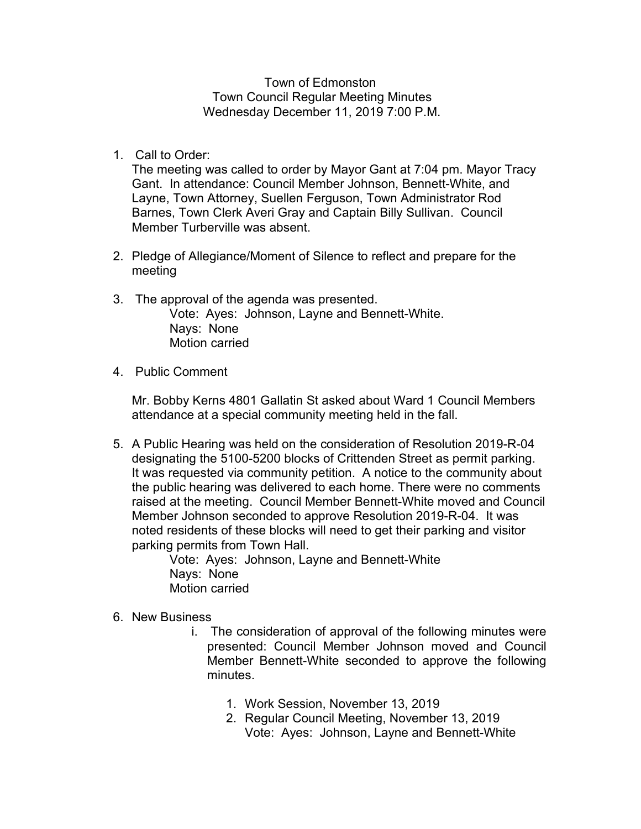Town of Edmonston Town Council Regular Meeting Minutes Wednesday December 11, 2019 7:00 P.M.

1. Call to Order:

The meeting was called to order by Mayor Gant at 7:04 pm. Mayor Tracy Gant. In attendance: Council Member Johnson, Bennett-White, and Layne, Town Attorney, Suellen Ferguson, Town Administrator Rod Barnes, Town Clerk Averi Gray and Captain Billy Sullivan. Council Member Turberville was absent.

- 2. Pledge of Allegiance/Moment of Silence to reflect and prepare for the meeting
- 3. The approval of the agenda was presented. Vote: Ayes: Johnson, Layne and Bennett-White. Nays: None Motion carried
- 4. Public Comment

Mr. Bobby Kerns 4801 Gallatin St asked about Ward 1 Council Members attendance at a special community meeting held in the fall.

5. A Public Hearing was held on the consideration of Resolution 2019-R-04 designating the 5100-5200 blocks of Crittenden Street as permit parking. It was requested via community petition. A notice to the community about the public hearing was delivered to each home. There were no comments raised at the meeting. Council Member Bennett-White moved and Council Member Johnson seconded to approve Resolution 2019-R-04. It was noted residents of these blocks will need to get their parking and visitor parking permits from Town Hall.

Vote: Ayes: Johnson, Layne and Bennett-White Nays: None Motion carried

- 6. New Business
	- i. The consideration of approval of the following minutes were presented: Council Member Johnson moved and Council Member Bennett-White seconded to approve the following minutes.
		- 1. Work Session, November 13, 2019
		- 2. Regular Council Meeting, November 13, 2019 Vote: Ayes: Johnson, Layne and Bennett-White